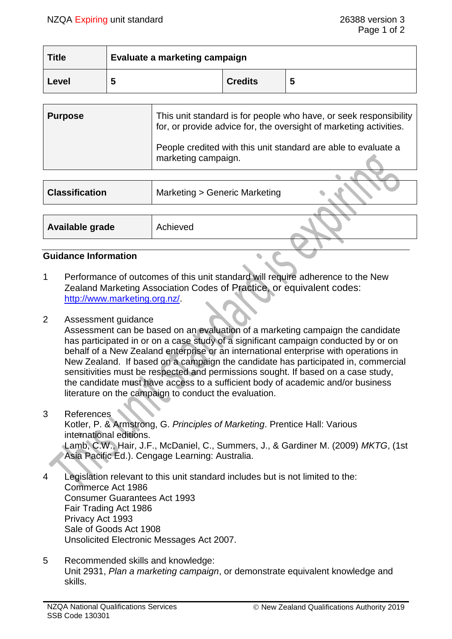| <b>Title</b> | Evaluate a marketing campaign |                |   |
|--------------|-------------------------------|----------------|---|
| 'Level       | .,                            | <b>Credits</b> | 5 |

| <b>Purpose</b> | This unit standard is for people who have, or seek responsibility<br>for, or provide advice for, the oversight of marketing activities. |  |
|----------------|-----------------------------------------------------------------------------------------------------------------------------------------|--|
|                | People credited with this unit standard are able to evaluate a<br>marketing campaign.                                                   |  |
|                |                                                                                                                                         |  |

| <b>Classification</b> | Marketing > Generic Marketing |  |
|-----------------------|-------------------------------|--|
|                       |                               |  |
| Available grade       | Achieved                      |  |
|                       |                               |  |

## **Guidance Information**

- 1 Performance of outcomes of this unit standard will require adherence to the New Zealand Marketing Association Codes of Practice, or equivalent codes: [http://www.marketing.org.nz/.](http://www.marketing.org.nz/)
- 2 Assessment guidance

Assessment can be based on an evaluation of a marketing campaign the candidate has participated in or on a case study of a significant campaign conducted by or on behalf of a New Zealand enterprise or an international enterprise with operations in New Zealand. If based on a campaign the candidate has participated in, commercial sensitivities must be respected and permissions sought. If based on a case study, the candidate must have access to a sufficient body of academic and/or business literature on the campaign to conduct the evaluation.

#### 3 References

Kotler, P. & Armstrong, G. *Principles of Marketing*. Prentice Hall: Various international editions. Lamb, C.W., Hair, J.F., McDaniel, C., Summers, J., & Gardiner M. (2009) *MKTG*, (1st Asia Pacific Ed.). Cengage Learning: Australia.

- 4 Legislation relevant to this unit standard includes but is not limited to the: Commerce Act 1986 Consumer Guarantees Act 1993 Fair Trading Act 1986 Privacy Act 1993 Sale of Goods Act 1908 Unsolicited Electronic Messages Act 2007.
- 5 Recommended skills and knowledge: Unit 2931, *Plan a marketing campaign*, or demonstrate equivalent knowledge and skills.